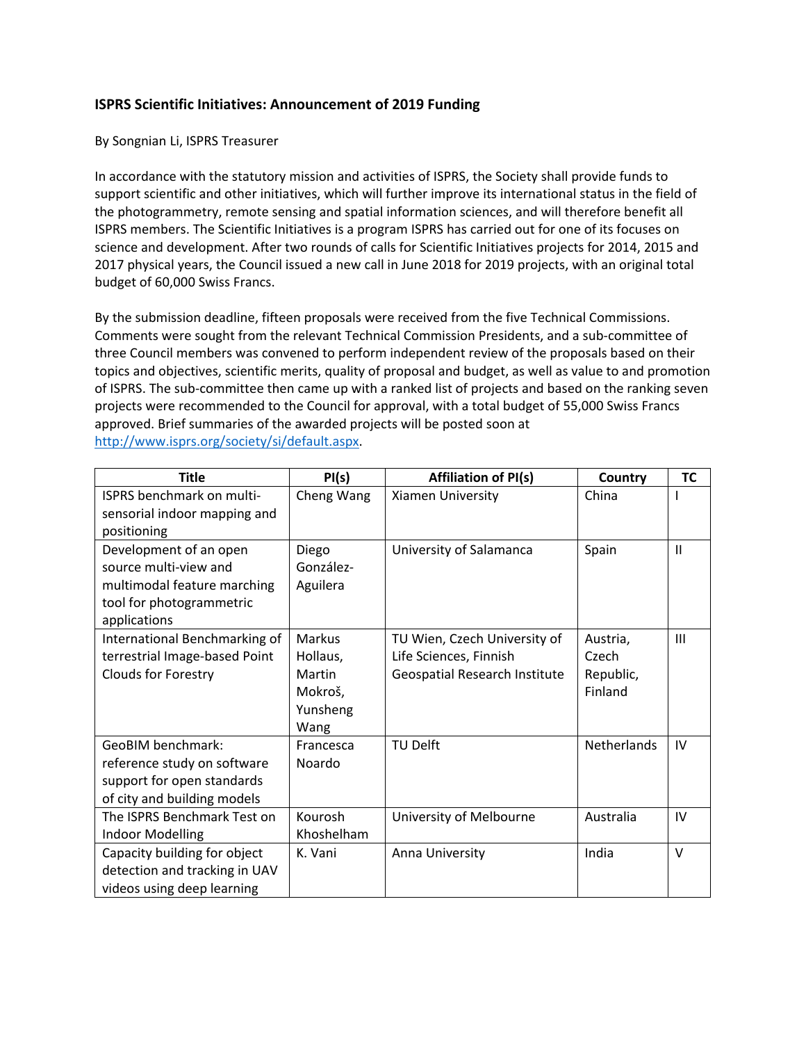## **ISPRS Scientific Initiatives: Announcement of 2019 Funding**

## By Songnian Li, ISPRS Treasurer

In accordance with the statutory mission and activities of ISPRS, the Society shall provide funds to support scientific and other initiatives, which will further improve its international status in the field of the photogrammetry, remote sensing and spatial information sciences, and will therefore benefit all ISPRS members. The Scientific Initiatives is a program ISPRS has carried out for one of its focuses on science and development. After two rounds of calls for Scientific Initiatives projects for 2014, 2015 and 2017 physical years, the Council issued a new call in June 2018 for 2019 projects, with an original total budget of 60,000 Swiss Francs.

By the submission deadline, fifteen proposals were received from the five Technical Commissions. Comments were sought from the relevant Technical Commission Presidents, and a sub-committee of three Council members was convened to perform independent review of the proposals based on their topics and objectives, scientific merits, quality of proposal and budget, as well as value to and promotion of ISPRS. The sub-committee then came up with a ranked list of projects and based on the ranking seven projects were recommended to the Council for approval, with a total budget of 55,000 Swiss Francs approved. Brief summaries of the awarded projects will be posted soon at [http://www.isprs.org/society/si/default.aspx.](http://www.isprs.org/society/si/default.aspx)

| <b>Title</b>                                                                                                               | PI(s)                                                              | <b>Affiliation of PI(s)</b>                                                             | Country                                   | <b>TC</b> |
|----------------------------------------------------------------------------------------------------------------------------|--------------------------------------------------------------------|-----------------------------------------------------------------------------------------|-------------------------------------------|-----------|
| ISPRS benchmark on multi-<br>sensorial indoor mapping and<br>positioning                                                   | Cheng Wang                                                         | Xiamen University                                                                       | China                                     |           |
| Development of an open<br>source multi-view and<br>multimodal feature marching<br>tool for photogrammetric<br>applications | Diego<br>González-<br>Aguilera                                     | University of Salamanca                                                                 | Spain                                     | Ш         |
| International Benchmarking of<br>terrestrial Image-based Point<br><b>Clouds for Forestry</b>                               | <b>Markus</b><br>Hollaus,<br>Martin<br>Mokroš,<br>Yunsheng<br>Wang | TU Wien, Czech University of<br>Life Sciences, Finnish<br>Geospatial Research Institute | Austria,<br>Czech<br>Republic,<br>Finland | III       |
| <b>GeoBIM benchmark:</b><br>reference study on software<br>support for open standards<br>of city and building models       | Francesca<br>Noardo                                                | <b>TU Delft</b>                                                                         | <b>Netherlands</b>                        | IV        |
| The ISPRS Benchmark Test on<br>Indoor Modelling                                                                            | Kourosh<br>Khoshelham                                              | University of Melbourne                                                                 | Australia                                 | IV        |
| Capacity building for object<br>detection and tracking in UAV<br>videos using deep learning                                | K. Vani                                                            | Anna University                                                                         | India                                     | $\vee$    |